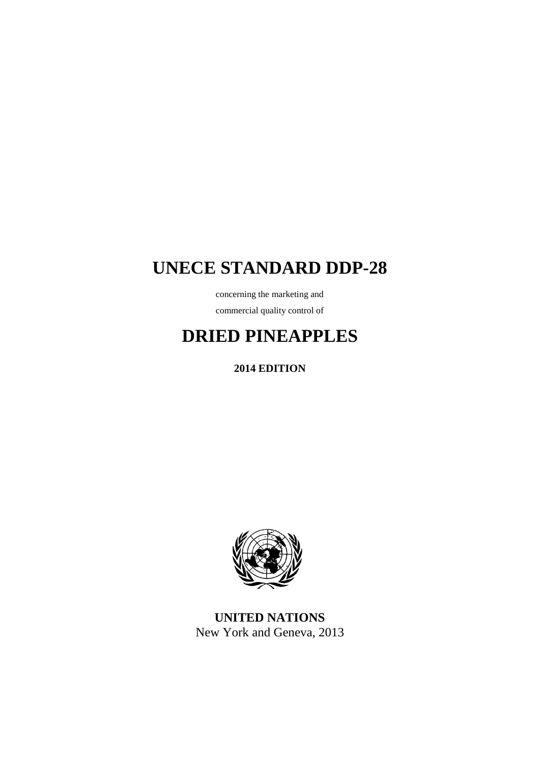# **UNECE STANDARD DDP-28**

concerning the marketing and commercial quality control of

# **DRIED PINEAPPLES**

**2014 EDITION**



**UNITED NATIONS** New York and Geneva, 2013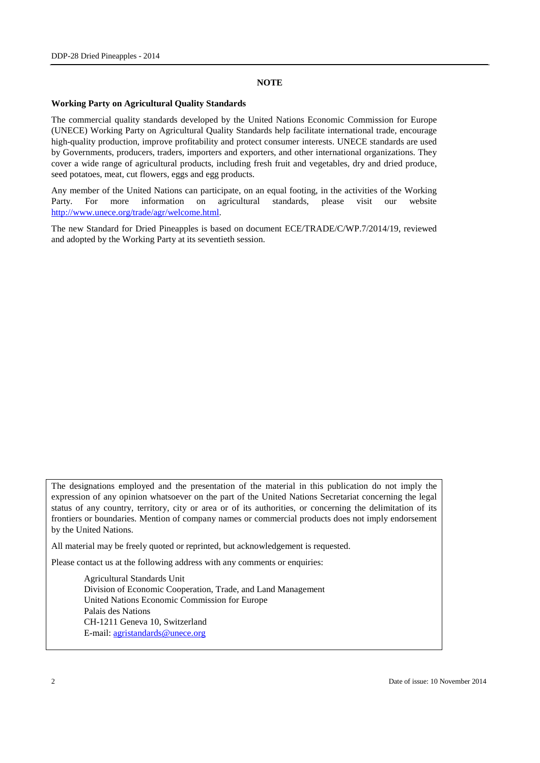#### **NOTE**

#### **Working Party on Agricultural Quality Standards**

The commercial quality standards developed by the United Nations Economic Commission for Europe (UNECE) Working Party on Agricultural Quality Standards help facilitate international trade, encourage high-quality production, improve profitability and protect consumer interests. UNECE standards are used by Governments, producers, traders, importers and exporters, and other international organizations. They cover a wide range of agricultural products, including fresh fruit and vegetables, dry and dried produce, seed potatoes, meat, cut flowers, eggs and egg products.

Any member of the United Nations can participate, on an equal footing, in the activities of the Working Party. For more information on agricultural standards, please visit our website [http://www.unece.org/trade/agr/welcome.html.](http://www.unece.org/trade/agr/welcome.html)

The new Standard for Dried Pineapples is based on document ECE/TRADE/C/WP.7/2014/19, reviewed and adopted by the Working Party at its seventieth session.

The designations employed and the presentation of the material in this publication do not imply the expression of any opinion whatsoever on the part of the United Nations Secretariat concerning the legal status of any country, territory, city or area or of its authorities, or concerning the delimitation of its frontiers or boundaries. Mention of company names or commercial products does not imply endorsement by the United Nations.

All material may be freely quoted or reprinted, but acknowledgement is requested.

Please contact us at the following address with any comments or enquiries:

Agricultural Standards Unit Division of Economic Cooperation, Trade, and Land Management United Nations Economic Commission for Europe Palais des Nations CH-1211 Geneva 10, Switzerland E-mail: [agristandards@unece.org](mailto:agristandards@unece.org)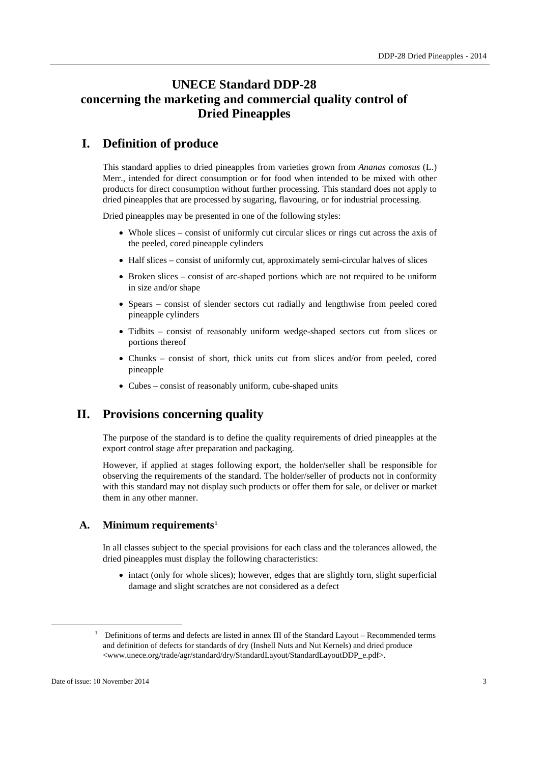## **UNECE Standard DDP-28 concerning the marketing and commercial quality control of Dried Pineapples**

## **I. Definition of produce**

This standard applies to dried pineapples from varieties grown from *Ananas comosus* (L.) Merr., intended for direct consumption or for food when intended to be mixed with other products for direct consumption without further processing. This standard does not apply to dried pineapples that are processed by sugaring, flavouring, or for industrial processing.

Dried pineapples may be presented in one of the following styles:

- Whole slices consist of uniformly cut circular slices or rings cut across the axis of the peeled, cored pineapple cylinders
- Half slices consist of uniformly cut, approximately semi-circular halves of slices
- Broken slices consist of arc-shaped portions which are not required to be uniform in size and/or shape
- Spears consist of slender sectors cut radially and lengthwise from peeled cored pineapple cylinders
- Tidbits consist of reasonably uniform wedge-shaped sectors cut from slices or portions thereof
- Chunks consist of short, thick units cut from slices and/or from peeled, cored pineapple
- Cubes consist of reasonably uniform, cube-shaped units

### **II. Provisions concerning quality**

The purpose of the standard is to define the quality requirements of dried pineapples at the export control stage after preparation and packaging.

However, if applied at stages following export, the holder/seller shall be responsible for observing the requirements of the standard. The holder/seller of products not in conformity with this standard may not display such products or offer them for sale, or deliver or market them in any other manner.

#### **A. Minimum requirements[1](#page-2-0)**

In all classes subject to the special provisions for each class and the tolerances allowed, the dried pineapples must display the following characteristics:

• intact (only for whole slices); however, edges that are slightly torn, slight superficial damage and slight scratches are not considered as a defect

<span id="page-2-0"></span><sup>&</sup>lt;sup>1</sup> Definitions of terms and defects are listed in annex III of the Standard Layout – Recommended terms and definition of defects for standards of dry (Inshell Nuts and Nut Kernels) and dried produce <www.unece.org/trade/agr/standard/dry/StandardLayout/StandardLayoutDDP\_e.pdf>.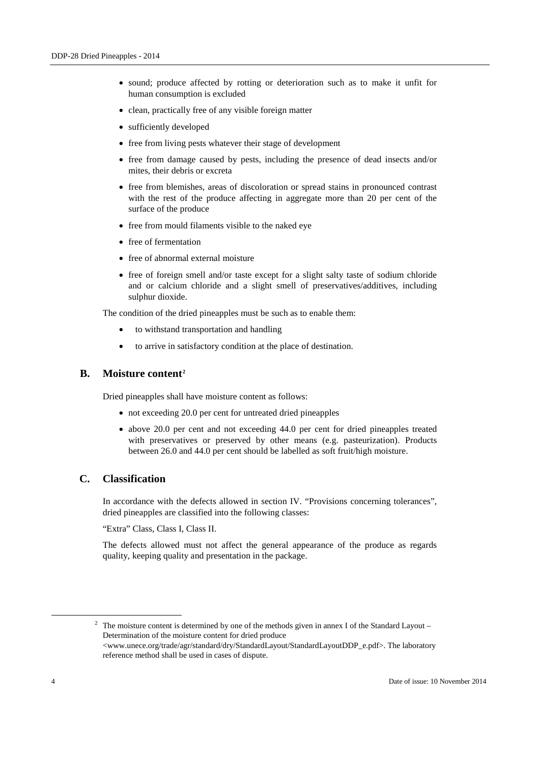- sound; produce affected by rotting or deterioration such as to make it unfit for human consumption is excluded
- clean, practically free of any visible foreign matter
- sufficiently developed
- free from living pests whatever their stage of development
- free from damage caused by pests, including the presence of dead insects and/or mites, their debris or excreta
- free from blemishes, areas of discoloration or spread stains in pronounced contrast with the rest of the produce affecting in aggregate more than 20 per cent of the surface of the produce
- free from mould filaments visible to the naked eye
- free of fermentation
- free of abnormal external moisture
- free of foreign smell and/or taste except for a slight salty taste of sodium chloride and or calcium chloride and a slight smell of preservatives/additives, including sulphur dioxide.

The condition of the dried pineapples must be such as to enable them:

- to withstand transportation and handling
- to arrive in satisfactory condition at the place of destination.

#### **B. Moisture content[2](#page-3-0)**

Dried pineapples shall have moisture content as follows:

- not exceeding 20.0 per cent for untreated dried pineapples
- above 20.0 per cent and not exceeding 44.0 per cent for dried pineapples treated with preservatives or preserved by other means (e.g. pasteurization). Products between 26.0 and 44.0 per cent should be labelled as soft fruit/high moisture.

#### **C. Classification**

In accordance with the defects allowed in section IV. "Provisions concerning tolerances", dried pineapples are classified into the following classes:

"Extra" Class, Class I, Class II.

The defects allowed must not affect the general appearance of the produce as regards quality, keeping quality and presentation in the package.

<span id="page-3-0"></span><sup>&</sup>lt;sup>2</sup> The moisture content is determined by one of the methods given in annex I of the Standard Layout – Determination of the moisture content for dried produce <www.unece.org/trade/agr/standard/dry/StandardLayout/StandardLayoutDDP\_e.pdf>. The laboratory reference method shall be used in cases of dispute.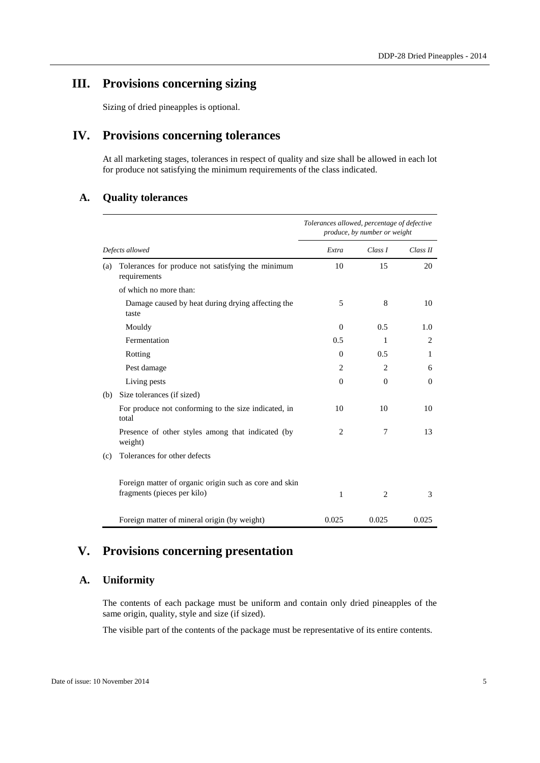## **III. Provisions concerning sizing**

Sizing of dried pineapples is optional.

## **IV. Provisions concerning tolerances**

At all marketing stages, tolerances in respect of quality and size shall be allowed in each lot for produce not satisfying the minimum requirements of the class indicated.

#### **A. Quality tolerances**

|                 |                                                                                       | Tolerances allowed, percentage of defective<br>produce, by number or weight |                |                |
|-----------------|---------------------------------------------------------------------------------------|-----------------------------------------------------------------------------|----------------|----------------|
| Defects allowed |                                                                                       | Extra                                                                       | Class I        | Class II       |
| (a)             | Tolerances for produce not satisfying the minimum<br>requirements                     | 10                                                                          | 15             | 20             |
|                 | of which no more than:                                                                |                                                                             |                |                |
|                 | Damage caused by heat during drying affecting the<br>taste                            | 5                                                                           | 8              | 10             |
|                 | Mouldy                                                                                | $\Omega$                                                                    | 0.5            | 1.0            |
|                 | Fermentation                                                                          | 0.5                                                                         | 1              | $\overline{c}$ |
|                 | Rotting                                                                               | $\Omega$                                                                    | 0.5            | 1              |
|                 | Pest damage                                                                           | $\overline{c}$                                                              | $\overline{c}$ | 6              |
|                 | Living pests                                                                          | $\Omega$                                                                    | $\Omega$       | $\Omega$       |
| (b)             | Size tolerances (if sized)                                                            |                                                                             |                |                |
|                 | For produce not conforming to the size indicated, in<br>total                         | 10                                                                          | 10             | 10             |
|                 | Presence of other styles among that indicated (by<br>weight)                          | $\overline{c}$                                                              | 7              | 13             |
| (c)             | Tolerances for other defects                                                          |                                                                             |                |                |
|                 | Foreign matter of organic origin such as core and skin<br>fragments (pieces per kilo) | 1                                                                           | 2              | 3              |
|                 | Foreign matter of mineral origin (by weight)                                          | 0.025                                                                       | 0.025          | 0.025          |

## **V. Provisions concerning presentation**

#### **A. Uniformity**

The contents of each package must be uniform and contain only dried pineapples of the same origin, quality, style and size (if sized).

The visible part of the contents of the package must be representative of its entire contents.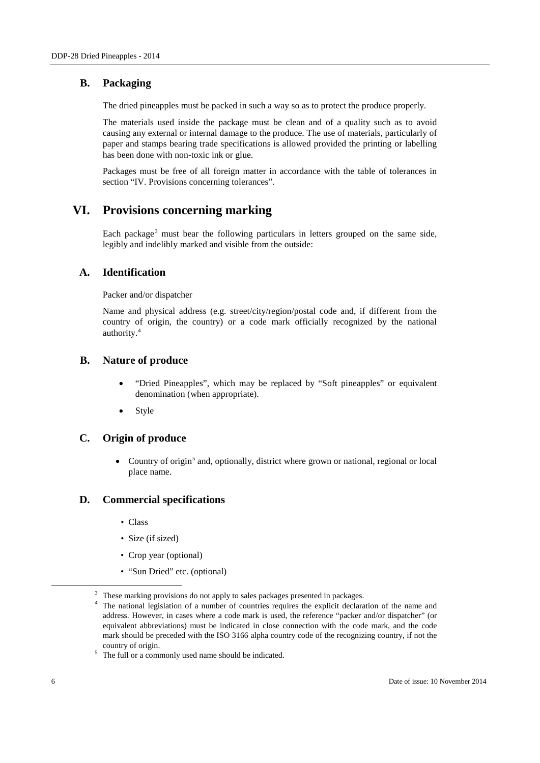#### **B. Packaging**

The dried pineapples must be packed in such a way so as to protect the produce properly.

The materials used inside the package must be clean and of a quality such as to avoid causing any external or internal damage to the produce. The use of materials, particularly of paper and stamps bearing trade specifications is allowed provided the printing or labelling has been done with non-toxic ink or glue.

Packages must be free of all foreign matter in accordance with the table of tolerances in section "IV. Provisions concerning tolerances".

### **VI. Provisions concerning marking**

Each package<sup>[3](#page-5-0)</sup> must bear the following particulars in letters grouped on the same side, legibly and indelibly marked and visible from the outside:

#### **A. Identification**

Packer and/or dispatcher

Name and physical address (e.g. street/city/region/postal code and, if different from the country of origin, the country) or a code mark officially recognized by the national authority.[4](#page-5-1)

#### **B. Nature of produce**

- "Dried Pineapples", which may be replaced by "Soft pineapples" or equivalent denomination (when appropriate).
- **Style**

#### **C. Origin of produce**

• Country of origin<sup>[5](#page-5-2)</sup> and, optionally, district where grown or national, regional or local place name.

#### **D. Commercial specifications**

- Class
- Size (if sized)
- Crop year (optional)
- "Sun Dried" etc. (optional)

<sup>&</sup>lt;sup>3</sup> These marking provisions do not apply to sales packages presented in packages.

<span id="page-5-1"></span><span id="page-5-0"></span>The national legislation of a number of countries requires the explicit declaration of the name and address. However, in cases where a code mark is used, the reference "packer and/or dispatcher" (or equivalent abbreviations) must be indicated in close connection with the code mark, and the code mark should be preceded with the ISO 3166 alpha country code of the recognizing country, if not the country of origin.

<span id="page-5-2"></span> $5$  The full or a commonly used name should be indicated.